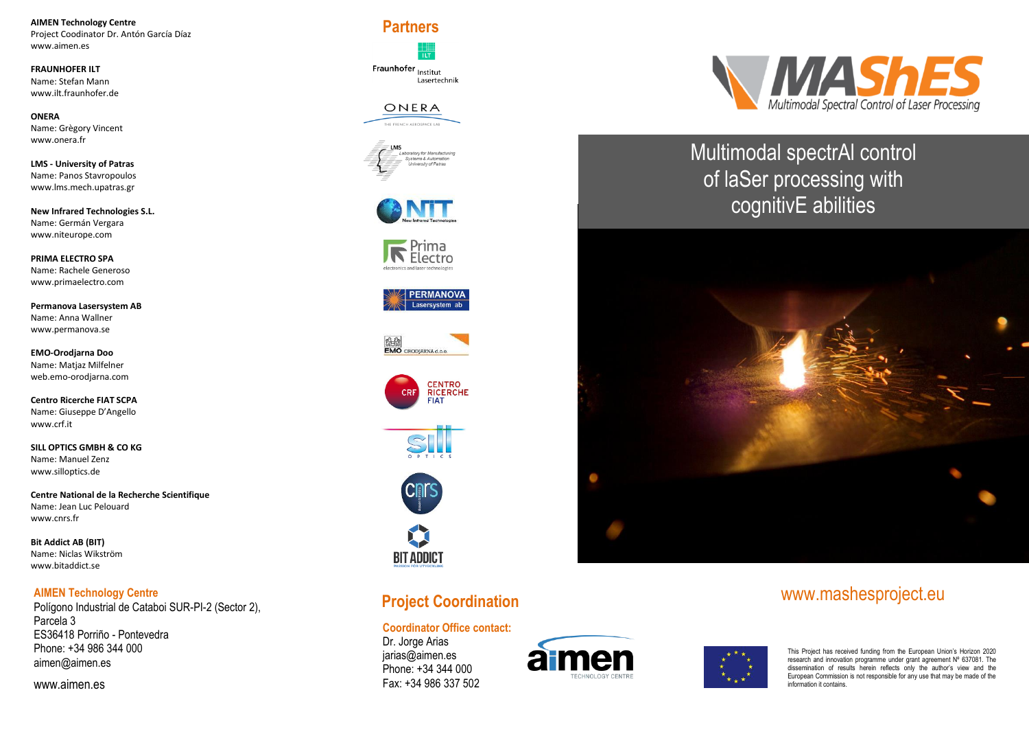**AIMEN Technology Centre** Project Coodinator Dr. Antón García Díaz [www.aimen.es](http://www.aimen.es/)

**FRAUNHOFER ILT** Name: Stefan Mann www.ilt.fraunhofer.de

**ONERA** Name: Grègory Vincent [www.onera.fr](http://www.onera.fr/)

**LMS - University of Patras**  Name: Panos Stavropoulos [www.lms.mech.upatras.gr](http://www.lms.mech.upatras.gr/)

**New Infrared Technologies S.L.**  Name: Germán Vergara [www.niteurope.com](http://www.niteurope.com/)

**PRIMA ELECTRO SPA** Name: Rachele Generoso [www.primaelectro.com](http://www.primaelectro.com/)

**Permanova Lasersystem AB** Name: Anna Wallner [www.permanova.se](http://www.permanova.se/)

**EMO-Orodjarna Doo** Name: Matjaz Milfelner web.emo-orodjarna.com

**Centro Ricerche FIAT SCPA**  Name: Giuseppe D'Angello [www.crf.it](http://www.crf.it/)

**SILL OPTICS GMBH & CO KG** Name: Manuel Zenz [www.silloptics.de](http://www.silloptics.de/)

**Centre National de la Recherche Scientifique**  Name: Jean Luc Pelouard [www.cnrs.fr](http://www.cnrs.fr/)

**Bit Addict AB (BIT)** Name: Niclas Wikström www.bitaddict.se

#### **AIMEN Technology Centre**

Polígono Industrial de Cataboi SUR-PI-2 (Sector 2), Parcela 3 ES36418 Porriño - Pontevedra Phone: +34 986 344 000 [aimen@aimen.es](mailto:aimen@aimen.es)

www.aimen.es

**Partners**

Fraunhofer <sub>Institut</sub> Lasertechnik

## ONERA

















# **Project Coordination**

#### **Coordinator Office contact:**

Dr. Jorge Arias [jarias@aimen.es](mailto:jarias@aimen.es) Phone: +34 344 000 Fax: +34 986 337 502





Multimodal spectrAl control of laSer processing with cognitivE abilities



# www.mashesproject.eu

This Project has received funding from the European Union's Horizon 2020 research and innovation programme under grant agreement N° 637081. The dissemination of results herein reflects only the author's view and the European Commission is not responsible for any use that may be made of the information it contains.